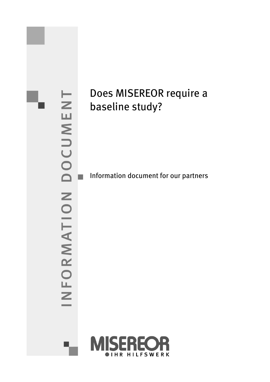

# Does MISEREOR require a baseline study?

Information document for our partners

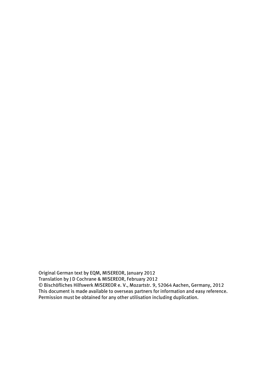Original German text by EQM, MISEREOR, January 2012 Translation by J D Cochrane & MISEREOR, February 2012 © Bischöfliches Hilfswerk MISEREOR e. V., Mozartstr. 9, 52064 Aachen, Germany, 2012 This document is made available to overseas partners for information and easy reference. Permission must be obtained for any other utilisation including duplication.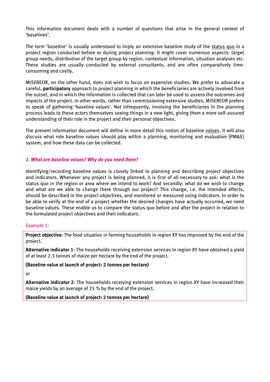This information document deals with a number of questions that arise in the general context of 'baselines'.

The term 'baseline' is usually understood to imply an extensive baseline study of the status quo in a project region conducted before or during project planning. It might cover numerous aspects: target group needs, distribution of the target group by region, contextual information, situation analyses etc. These studies are usually conducted by external consultants, and are often comparatively timeconsuming and costly.

MISEREOR, on the other hand, does not wish to focus on expensive studies. We prefer to advocate a careful, **participatory** approach to project planning in which the beneficiaries are actively involved from the outset, and in which the information is collected that can later be used to assess the outcomes and impacts of the project. In other words, rather than commissioning extensive studies, MISEREOR prefers to speak of gathering 'baseline values'. Not infrequently, involving the beneficiaries in the planning process leads to these actors themselves seeing things in a new light, giving them a more self-assured understanding of their role in the project and their personal objectives.

The present information document will define in more detail this notion of baseline values. It will also discuss what role baseline values should play within a planning, monitoring and evaluation (PM&E) system, and how these data can be collected.

### *1. What are baseline values? Why do you need them?*

Identifying/recording baseline values is closely linked to planning and describing project objectives and indicators. Whenever any project is being planned, it is first of all necessary to ask: what is the status quo in the region or area where we intend to work? And secondly: what do we wish to change and what are we able to change there through our project? This change, i.e. the intended effects, should be described in the project objectives, and monitored or measured using indicators. In order to be able to verify at the end of a project whether the desired changes have actually occurred, we need baseline values. These enable us to compare the status quo before and after the project in relation to the formulated project objectives and their indicators.

### Example 1:

**Project objective**: The food situation in farming households in region XY has improved by the end of the project.

**Alternative indicator 1**: The households receiving extension services in region XY have obtained a yield of at least 2.5 tonnes of maize per hectare by the end of the project.

### **(Baseline value at launch of project: 2 tonnes per hectare)**

or

**Alternative indicator 2**: The households receiving extension services in region XY have increased their maize yields by an average of 25 % by the end of the project**.**

### **(Baseline value at launch of project: 2 tonnes per hectare)**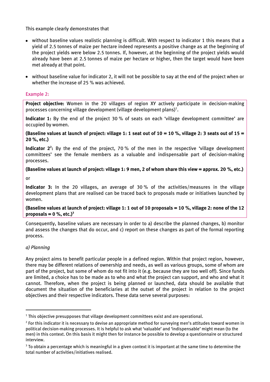This example clearly demonstrates that

- without baseline values realistic planning is difficult. With respect to indicator 1 this means that a yield of 2.5 tonnes of maize per hectare indeed represents a positive change as at the beginning of the project yields were below 2.5 tonnes. If, however, at the beginning of the project yields would already have been at 2.5 tonnes of maize per hectare or higher, then the target would have been met already at that point.
- without baseline value for indicator 2, it will not be possible to say at the end of the project when or whether the increase of 25 % was achieved.

### Example 2:

**Project objective:** Women in the 20 villages of region XY actively participate in decision-making processes concerning village development (village development plans)<sup>1</sup>.

**Indicator 1:** By the end of the project 30 % of seats on each 'village development committee' are occupied by women.

**(Baseline values at launch of project: village 1: 1 seat out of 10 = 10 %, village 2: 3 seats out of 15 = 20 %, etc.)**

Indicator 2<sup>2</sup>: By the end of the project, 70% of the men in the respective 'village development committees' see the female members as a valuable and indispensable part of decision-making processes.

# **(Baseline values at launch of project: village 1: 9 men, 2 of whom share this view = approx. 20 %, etc.)**

or

**Indicator 3:** In the 20 villages, an average of 30 % of the activities/measures in the village development plans that are realised can be traced back to proposals made or initiatives launched by women.

### **(Baseline values at launch of project: village 1: 1 out of 10 proposals = 10 %, village 2: none of the 12 proposals = 0 %, etc.)<sup>3</sup>**

Consequently, baseline values are necessary in order to a) describe the planned changes, b) monitor and assess the changes that do occur, and c) report on these changes as part of the formal reporting process.

## *a) Planning*

j

Any project aims to benefit particular people in a defined region. Within that project region, however, there may be different relations of ownership and needs, as well as various groups, some of whom are part of the project, but some of whom do not fit into it (e.g. because they are too well off). Since funds are limited, a choice has to be made as to who and what the project can support, and who and what it cannot. Therefore, when the project is being planned or launched, data should be available that document the situation of the beneficiaries at the outset of the project in relation to the project objectives and their respective indicators. These data serve several purposes:

 $<sup>1</sup>$  This objective presupposes that village development committees exist and are operational.</sup>

<sup>&</sup>lt;sup>2</sup> For this indicator it is necessary to devise an appropriate method for surveying men's attitudes toward women in political decision-making processes. It is helpful to ask what 'valuable' and 'indispensable' might mean (to the men) in this context. On this basis it might then for instance be possible to develop a questionnaire or structured interview.

 $3$  To obtain a percentage which is meaningful in a given context it is important at the same time to determine the total number of activities/initiatives realised.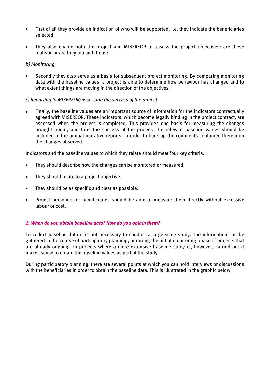- First of all they provide an indication of who will be supported, i.e. they indicate the beneficiaries  $\bullet$ selected.
- They also enable both the project and MISEREOR to assess the project objectives: are these realistic or are they too ambitious?

### *b) Monitoring*

Secondly they also serve as a basis for subsequent project monitoring. By comparing monitoring data with the baseline values, a project is able to determine how behaviour has changed and to what extent things are moving in the direction of the objectives.

### *c) Reporting to MISEREOR/assessing the success of the project*

Finally, the baseline values are an important source of information for the indicators contractually agreed with MISEREOR. These indicators, which become legally binding in the project contract, are assessed when the project is completed. This provides one basis for measuring the changes brought about, and thus the success of the project. The relevant baseline values should be included in the annual narrative reports, in order to back up the comments contained therein on the changes observed.

Indicators and the baseline values to which they relate should meet four key criteria:

- They should describe how the changes can be monitored or measured.  $\bullet$
- They should relate to a project objective.  $\bullet$
- They should be as specific and clear as possible.  $\bullet$
- Project personnel or beneficiaries should be able to measure them directly without excessive labour or cost.

### *2. When do you obtain baseline data? How do you obtain them?*

To collect baseline data it is not necessary to conduct a large-scale study. The information can be gathered in the course of participatory planning, or during the initial monitoring phase of projects that are already ongoing. In projects where a more extensive baseline study is, however, carried out it makes sense to obtain the baseline values as part of the study.

During participatory planning, there are several points at which you can hold interviews or discussions with the beneficiaries in order to obtain the baseline data. This is illustrated in the graphic below: